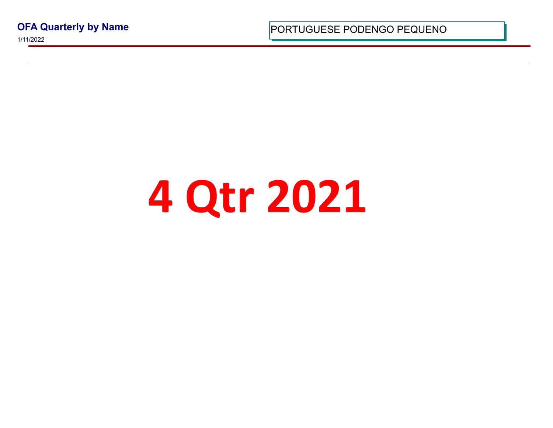**OFA Quarterly by Name**

1/11/2022

PORTUGUESE PODENGO PEQUI

## **4 Qtr 2021**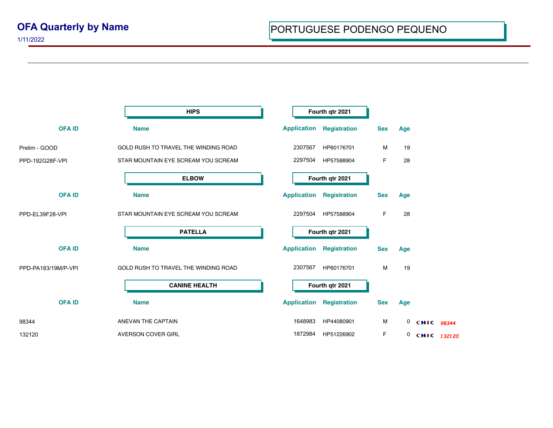1/11/2022